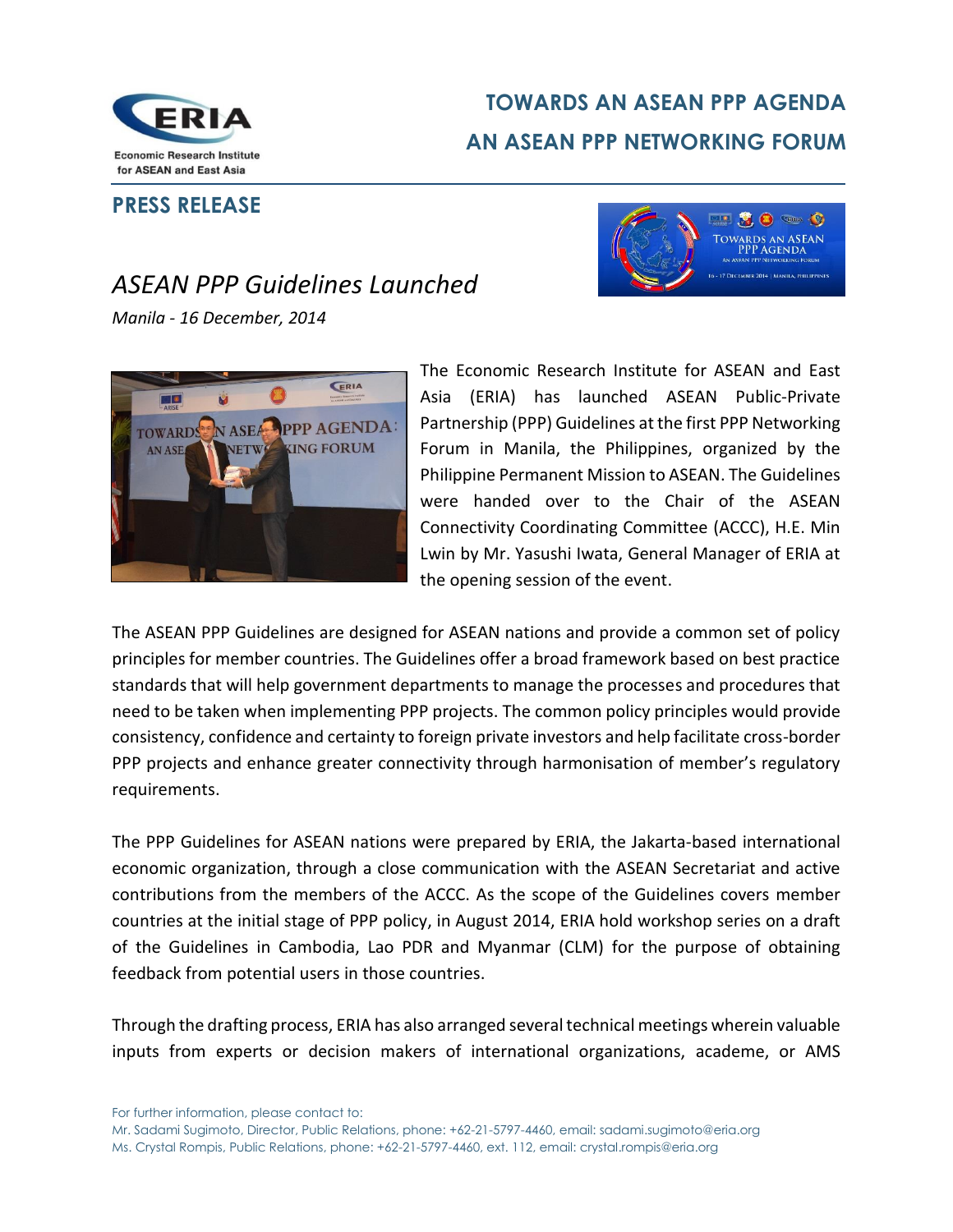

## **TOWARDS AN ASEAN PPP AGENDA AN ASEAN PPP NETWORKING FORUM**

## **PRESS RELEASE**



## *ASEAN PPP Guidelines Launched*

*Manila - 16 December, 2014*



The Economic Research Institute for ASEAN and East Asia (ERIA) has launched ASEAN Public-Private Partnership (PPP) Guidelines at the first PPP Networking Forum in Manila, the Philippines, organized by the Philippine Permanent Mission to ASEAN. The Guidelines were handed over to the Chair of the ASEAN Connectivity Coordinating Committee (ACCC), H.E. Min Lwin by Mr. Yasushi Iwata, General Manager of ERIA at the opening session of the event.

The ASEAN PPP Guidelines are designed for ASEAN nations and provide a common set of policy principles for member countries. The Guidelines offer a broad framework based on best practice standards that will help government departments to manage the processes and procedures that need to be taken when implementing PPP projects. The common policy principles would provide consistency, confidence and certainty to foreign private investors and help facilitate cross-border PPP projects and enhance greater connectivity through harmonisation of member's regulatory requirements.

The PPP Guidelines for ASEAN nations were prepared by ERIA, the Jakarta-based international economic organization, through a close communication with the ASEAN Secretariat and active contributions from the members of the ACCC. As the scope of the Guidelines covers member countries at the initial stage of PPP policy, in August 2014, ERIA hold workshop series on a draft of the Guidelines in Cambodia, Lao PDR and Myanmar (CLM) for the purpose of obtaining feedback from potential users in those countries.

Through the drafting process, ERIA has also arranged several technical meetings wherein valuable inputs from experts or decision makers of international organizations, academe, or AMS

For further information, please contact to:

Mr. Sadami Sugimoto, Director, Public Relations, phone: +62-21-5797-4460, email: sadami.sugimoto@eria.org Ms. Crystal Rompis, Public Relations, phone: +62-21-5797-4460, ext. 112, email: crystal.rompis@eria.org